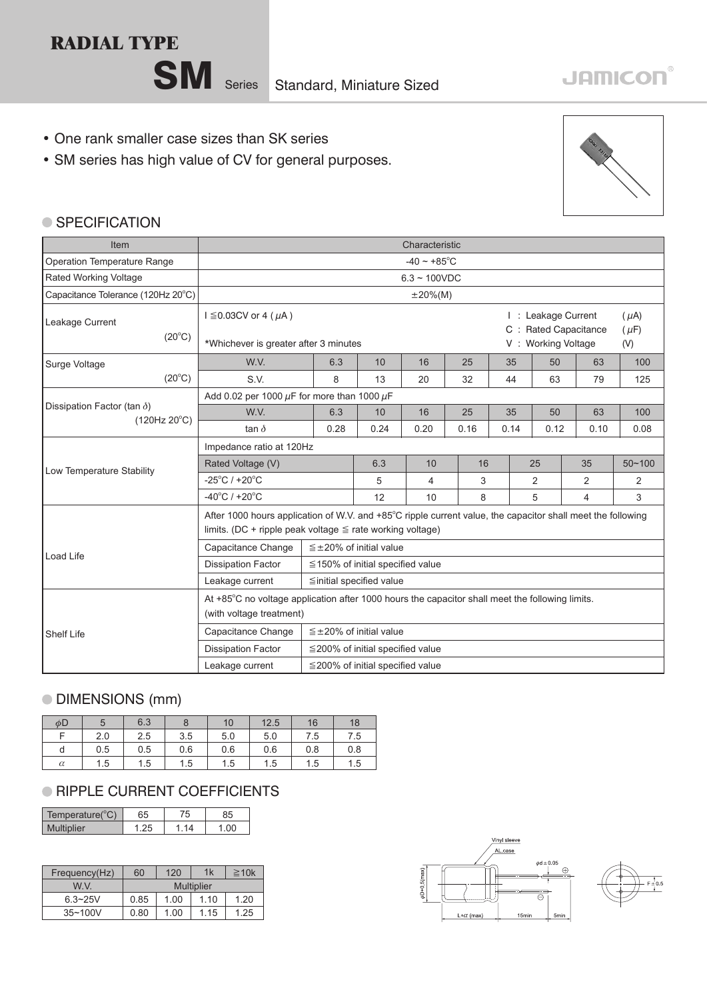## **RADIAL TYPE**

SM Series Standard, Miniature Sized

### • One rank smaller case sizes than SK series

• SM series has high value of CV for general purposes.



#### ● SPECIFICATION

| <b>Item</b>                        |                                                                                                                                                                               | Characteristic                         |      |      |      |                                                                       |      |      |                               |
|------------------------------------|-------------------------------------------------------------------------------------------------------------------------------------------------------------------------------|----------------------------------------|------|------|------|-----------------------------------------------------------------------|------|------|-------------------------------|
| <b>Operation Temperature Range</b> |                                                                                                                                                                               | $-40 \sim +85^{\circ}$ C               |      |      |      |                                                                       |      |      |                               |
| Rated Working Voltage              |                                                                                                                                                                               | $6.3 - 100VDC$                         |      |      |      |                                                                       |      |      |                               |
| Capacitance Tolerance (120Hz 20°C) |                                                                                                                                                                               | $±20\%(M)$                             |      |      |      |                                                                       |      |      |                               |
| Leakage Current<br>$(20^{\circ}C)$ | $I \leq 0.03CV$ or 4 ( $\mu$ A)<br>*Whichever is greater after 3 minutes                                                                                                      |                                        |      |      |      | : Leakage Current<br>Rated Capacitance<br>$C$ :<br>V: Working Voltage |      |      | $(\mu A)$<br>$(\mu F)$<br>(V) |
| Surge Voltage                      | W.V.                                                                                                                                                                          | 6.3                                    | 10   | 16   | 25   | 35                                                                    | 50   | 63   | 100                           |
| $(20^{\circ}C)$                    | S.V.                                                                                                                                                                          | 8                                      | 13   | 20   | 32   | 44                                                                    | 63   | 79   | 125                           |
|                                    | Add 0.02 per 1000 $\mu$ F for more than 1000 $\mu$ F                                                                                                                          |                                        |      |      |      |                                                                       |      |      |                               |
| Dissipation Factor (tan $\delta$ ) | W.V.                                                                                                                                                                          | 6.3                                    | 10   | 16   | 25   | 35                                                                    | 50   | 63   | 100                           |
| (120Hz 20°C)                       | tan $\delta$                                                                                                                                                                  | 0.28                                   | 0.24 | 0.20 | 0.16 | 0.14                                                                  | 0.12 | 0.10 | 0.08                          |
|                                    | Impedance ratio at 120Hz                                                                                                                                                      |                                        |      |      |      |                                                                       |      |      |                               |
| Low Temperature Stability          | Rated Voltage (V)                                                                                                                                                             |                                        | 6.3  | 10   | 16   |                                                                       | 25   | 35   | $50 - 100$                    |
|                                    | $-25^{\circ}$ C / +20 $^{\circ}$ C                                                                                                                                            |                                        | 5    | 4    | 3    |                                                                       | 2    | 2    | 2                             |
|                                    | $-40^{\circ}$ C / +20 $^{\circ}$ C                                                                                                                                            |                                        | 12   | 10   | 8    |                                                                       | 5    | 4    | 3                             |
|                                    | After 1000 hours application of W.V. and +85°C ripple current value, the capacitor shall meet the following<br>limits. (DC + ripple peak voltage $\leq$ rate working voltage) |                                        |      |      |      |                                                                       |      |      |                               |
| Load Life                          | Capacitance Change                                                                                                                                                            | $\leq \pm 20\%$ of initial value       |      |      |      |                                                                       |      |      |                               |
|                                    | <b>Dissipation Factor</b><br>$\leq$ 150% of initial specified value                                                                                                           |                                        |      |      |      |                                                                       |      |      |                               |
|                                    | Leakage current                                                                                                                                                               | ≦initial specified value               |      |      |      |                                                                       |      |      |                               |
|                                    | At +85°C no voltage application after 1000 hours the capacitor shall meet the following limits.<br>(with voltage treatment)                                                   |                                        |      |      |      |                                                                       |      |      |                               |
| Shelf Life                         | Capacitance Change                                                                                                                                                            | $\leq \pm 20\%$ of initial value       |      |      |      |                                                                       |      |      |                               |
|                                    | <b>Dissipation Factor</b>                                                                                                                                                     | $\leq$ 200% of initial specified value |      |      |      |                                                                       |      |      |                               |
|                                    | Leakage current                                                                                                                                                               | $\leq$ 200% of initial specified value |      |      |      |                                                                       |      |      |                               |

#### DIMENSIONS (mm)

| $\phi$ D |     | 6.3 | 8   | 10  | 12.5 | 16  | 18  |
|----------|-----|-----|-----|-----|------|-----|-----|
| Е        | 2.0 | 2.5 | 3.5 | 5.0 | 5.0  | 7.5 | 7.5 |
| d        | 0.5 | 0.5 | 0.6 | 0.6 | 0.6  | 0.8 | 0.8 |
| $\alpha$ | 1.5 | 1.5 | 1.5 | 1.5 | 1.5  | 1.5 | 1.5 |

#### **RIPPLE CURRENT COEFFICIENTS**

| Temperature( ${}^{\circ}$ C) | 65   | '5 | 35 |
|------------------------------|------|----|----|
| <b>Multiplier</b>            | - 11 |    |    |

| Frequency(Hz) | 60         | 120  | 1k   | $\geq 10k$ |  |  |
|---------------|------------|------|------|------------|--|--|
| W V           | Multiplier |      |      |            |  |  |
| $6.3 - 25V$   | 0.85       | 1.00 | 110  | 1.20       |  |  |
| $35 - 100V$   | 0.80       | 1.00 | 1 15 | 1.25       |  |  |



# **JAMICON®**